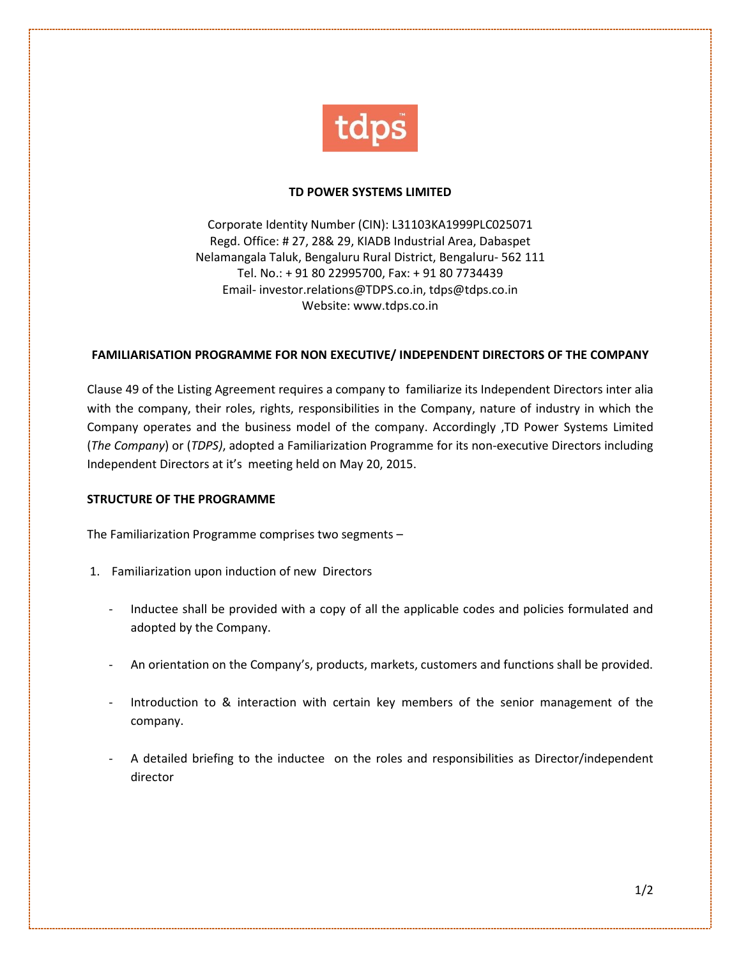

## **TD POWER SYSTEMS LIMITED**

Corporate Identity Number (CIN): L31103KA1999PLC025071 Regd. Office: # 27, 28& 29, KIADB Industrial Area, Dabaspet Nelamangala Taluk, Bengaluru Rural District, Bengaluru- 562 111 Tel. No.: + 91 80 22995700, Fax: + 91 80 7734439 Email- investor.relations@TDPS.co.in, tdps@tdps.co.in Website: www.tdps.co.in

## **FAMILIARISATION PROGRAMME FOR NON EXECUTIVE/ INDEPENDENT DIRECTORS OF THE COMPANY**

Clause 49 of the Listing Agreement requires a company to familiarize its Independent Directors inter alia with the company, their roles, rights, responsibilities in the Company, nature of industry in which the Company operates and the business model of the company. Accordingly ,TD Power Systems Limited (*The Company*) or (*TDPS)*, adopted a Familiarization Programme for its non-executive Directors including Independent Directors at it's meeting held on May 20, 2015.

## **STRUCTURE OF THE PROGRAMME**

The Familiarization Programme comprises two segments –

- 1. Familiarization upon induction of new Directors
	- Inductee shall be provided with a copy of all the applicable codes and policies formulated and adopted by the Company.
	- An orientation on the Company's, products, markets, customers and functions shall be provided.
	- Introduction to & interaction with certain key members of the senior management of the company.
	- A detailed briefing to the inductee on the roles and responsibilities as Director/independent director